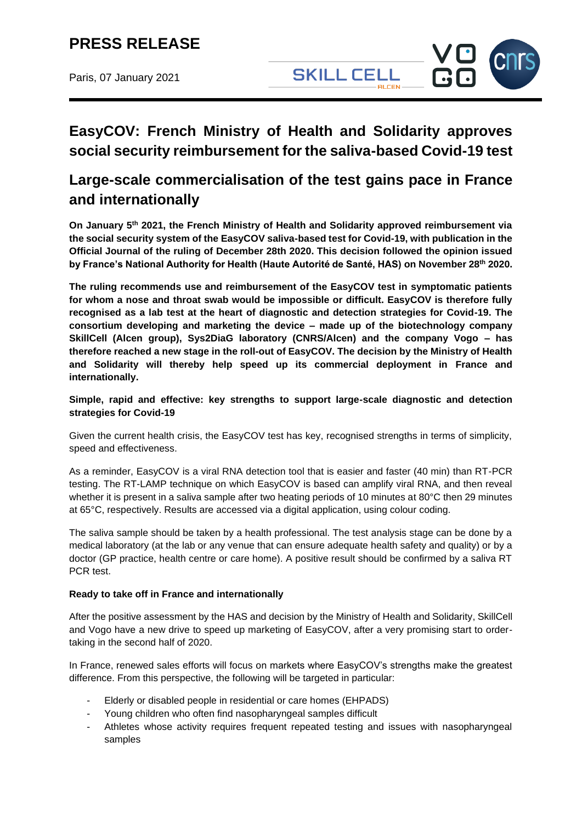### **PRESS RELEASE**

Paris, 07 January 2021



### **EasyCOV: French Ministry of Health and Solidarity approves social security reimbursement for the saliva-based Covid-19 test**

### **Large-scale commercialisation of the test gains pace in France and internationally**

**On January 5 th 2021, the French Ministry of Health and Solidarity approved reimbursement via the social security system of the EasyCOV saliva-based test for Covid-19, with publication in the Official Journal of the ruling of December 28th 2020. This decision followed the opinion issued by France's National Authority for Health (Haute Autorité de Santé, HAS) on November 28th 2020.**

**The ruling recommends use and reimbursement of the EasyCOV test in symptomatic patients for whom a nose and throat swab would be impossible or difficult. EasyCOV is therefore fully recognised as a lab test at the heart of diagnostic and detection strategies for Covid-19. The consortium developing and marketing the device – made up of the biotechnology company SkillCell (Alcen group), Sys2DiaG laboratory (CNRS/Alcen) and the company Vogo – has therefore reached a new stage in the roll-out of EasyCOV. The decision by the Ministry of Health and Solidarity will thereby help speed up its commercial deployment in France and internationally.**

#### **Simple, rapid and effective: key strengths to support large-scale diagnostic and detection strategies for Covid-19**

Given the current health crisis, the EasyCOV test has key, recognised strengths in terms of simplicity, speed and effectiveness.

As a reminder, EasyCOV is a viral RNA detection tool that is easier and faster (40 min) than RT-PCR testing. The RT-LAMP technique on which EasyCOV is based can amplify viral RNA, and then reveal whether it is present in a saliva sample after two heating periods of 10 minutes at 80°C then 29 minutes at 65°C, respectively. Results are accessed via a digital application, using colour coding.

The saliva sample should be taken by a health professional. The test analysis stage can be done by a medical laboratory (at the lab or any venue that can ensure adequate health safety and quality) or by a doctor (GP practice, health centre or care home). A positive result should be confirmed by a saliva RT PCR test.

#### **Ready to take off in France and internationally**

After the positive assessment by the HAS and decision by the Ministry of Health and Solidarity, SkillCell and Vogo have a new drive to speed up marketing of EasyCOV, after a very promising start to ordertaking in the second half of 2020.

In France, renewed sales efforts will focus on markets where EasyCOV's strengths make the greatest difference. From this perspective, the following will be targeted in particular:

- Elderly or disabled people in residential or care homes (EHPADS)
- Young children who often find nasopharyngeal samples difficult
- Athletes whose activity requires frequent repeated testing and issues with nasopharyngeal samples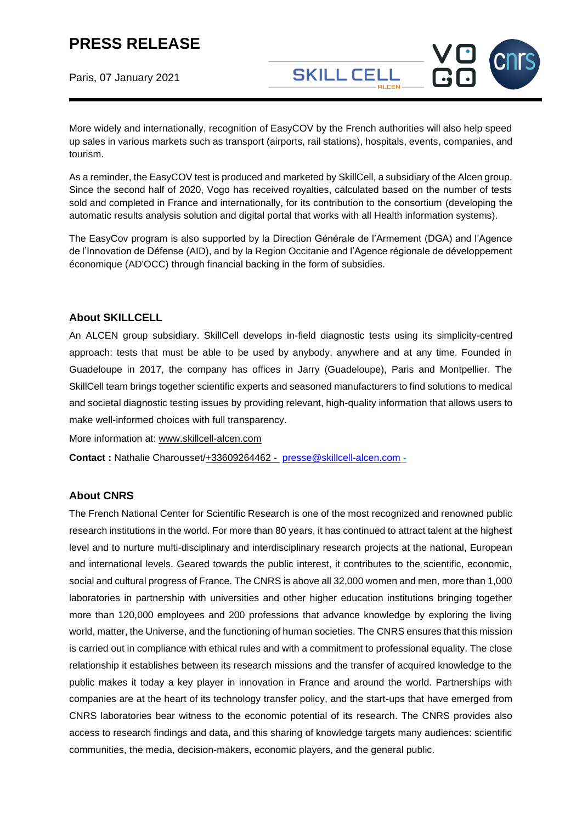# **PRESS RELEASE**

Paris, 07 January 2021

More widely and internationally, recognition of EasyCOV by the French authorities will also help speed up sales in various markets such as transport (airports, rail stations), hospitals, events, companies, and tourism.

**SKILL CELL** 

As a reminder, the EasyCOV test is produced and marketed by SkillCell, a subsidiary of the Alcen group. Since the second half of 2020, Vogo has received royalties, calculated based on the number of tests sold and completed in France and internationally, for its contribution to the consortium (developing the automatic results analysis solution and digital portal that works with all Health information systems).

The EasyCov program is also supported by la Direction Générale de l'Armement (DGA) and l'Agence de l'Innovation de Défense (AID), and by la Region Occitanie and l'Agence régionale de développement économique (AD'OCC) through financial backing in the form of subsidies.

#### **About SKILLCELL**

An ALCEN group subsidiary. SkillCell develops in-field diagnostic tests using its simplicity-centred approach: tests that must be able to be used by anybody, anywhere and at any time. Founded in Guadeloupe in 2017, the company has offices in Jarry (Guadeloupe), Paris and Montpellier. The SkillCell team brings together scientific experts and seasoned manufacturers to find solutions to medical and societal diagnostic testing issues by providing relevant, high-quality information that allows users to make well-informed choices with full transparency.

More information at: [www.skillcell-alcen.com](http://www.skillcell-alcen.com/)

**Contact :** Nathalie Charousset/+33609264462 - [presse@skillcell-alcen.com](mailto:presse@skillcell-alcen.com) -

#### **About CNRS**

The French National Center for Scientific Research is one of the most recognized and renowned public research institutions in the world. For more than 80 years, it has continued to attract talent at the highest level and to nurture multi-disciplinary and interdisciplinary research projects at the national, European and international levels. Geared towards the public interest, it contributes to the scientific, economic, social and cultural progress of France. The CNRS is above all 32,000 women and men, more than 1,000 laboratories in partnership with universities and other higher education institutions bringing together more than 120,000 employees and 200 professions that advance knowledge by exploring the living world, matter, the Universe, and the functioning of human societies. The CNRS ensures that this mission is carried out in compliance with ethical rules and with a commitment to professional equality. The close relationship it establishes between its research missions and the transfer of acquired knowledge to the public makes it today a key player in innovation in France and around the world. Partnerships with companies are at the heart of its technology transfer policy, and the start-ups that have emerged from CNRS laboratories bear witness to the economic potential of its research. The CNRS provides also access to research findings and data, and this sharing of knowledge targets many audiences: scientific communities, the media, decision-makers, economic players, and the general public.